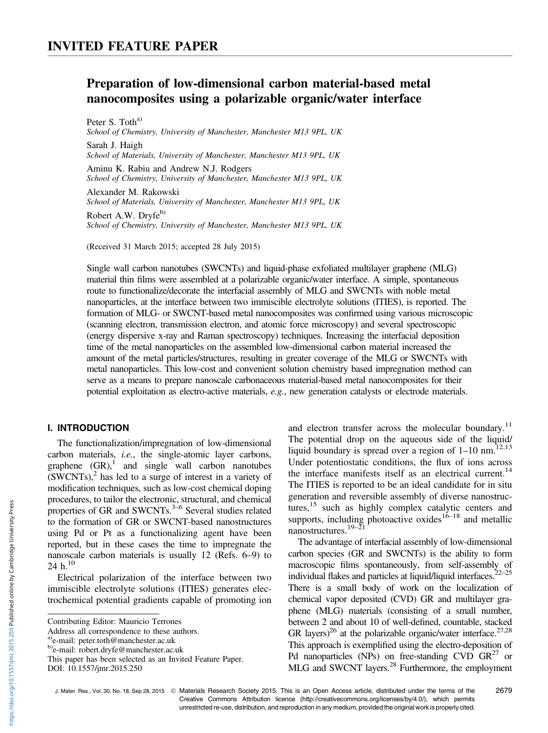# Preparation of low-dimensional carbon material-based metal nanocomposites using a polarizable organic/water interface

Peter S. Toth<sup>a)</sup> School of Chemistry, University of Manchester, Manchester M13 9PL, UK Sarah J. Haigh School of Materials, University of Manchester, Manchester M13 9PL, UK Aminu K. Rabiu and Andrew N.J. Rodgers School of Chemistry, University of Manchester, Manchester M13 9PL, UK

Alexander M. Rakowski School of Materials, University of Manchester, Manchester M13 9PL, UK

Robert A.W. Dryfe<sup>b)</sup> School of Chemistry, University of Manchester, Manchester M13 9PL, UK

(Received 31 March 2015; accepted 28 July 2015)

Single wall carbon nanotubes (SWCNTs) and liquid-phase exfoliated multilayer graphene (MLG) material thin films were assembled at a polarizable organic/water interface. A simple, spontaneous route to functionalize/decorate the interfacial assembly of MLG and SWCNTs with noble metal nanoparticles, at the interface between two immiscible electrolyte solutions (ITIES), is reported. The formation of MLG- or SWCNT-based metal nanocomposites was confirmed using various microscopic (scanning electron, transmission electron, and atomic force microscopy) and several spectroscopic (energy dispersive x-ray and Raman spectroscopy) techniques. Increasing the interfacial deposition time of the metal nanoparticles on the assembled low-dimensional carbon material increased the amount of the metal particles/structures, resulting in greater coverage of the MLG or SWCNTs with metal nanoparticles. This low-cost and convenient solution chemistry based impregnation method can serve as a means to prepare nanoscale carbonaceous material-based metal nanocomposites for their potential exploitation as electro-active materials, e.g., new generation catalysts or electrode materials.

# I. INTRODUCTION

The functionalization/impregnation of low-dimensional carbon materials, i.e., the single-atomic layer carbons, graphene  $(GR)$ , and single wall carbon nanotubes  $(SWCNTs)<sup>2</sup>$  has led to a surge of interest in a variety of modification techniques, such as low-cost chemical doping procedures, to tailor the electronic, structural, and chemical properties of GR and SWCNTs. $3-6$  Several studies related to the formation of GR or SWCNT-based nanostructures using Pd or Pt as a functionalizing agent have been reported, but in these cases the time to impregnate the nanoscale carbon materials is usually 12 (Refs. 6–9) to 24 h. $^{10}$ 

Electrical polarization of the interface between two immiscible electrolyte solutions (ITIES) generates electrochemical potential gradients capable of promoting ion

and electron transfer across the molecular boundary.<sup>11</sup> The potential drop on the aqueous side of the liquid/ liquid boundary is spread over a region of  $1-10$  nm.<sup>12,13</sup> Under potentiostatic conditions, the flux of ions across the interface manifests itself as an electrical current.<sup>14</sup> The ITIES is reported to be an ideal candidate for in situ generation and reversible assembly of diverse nanostructures,<sup>15</sup> such as highly complex catalytic centers and supports, including photoactive oxides<sup>16–18</sup> and metallic nanostructures.<sup>19–2</sup>

The advantage of interfacial assembly of low-dimensional carbon species (GR and SWCNTs) is the ability to form macroscopic films spontaneously, from self-assembly of individual flakes and particles at liquid/liquid interfaces. $22-25$ There is a small body of work on the localization of chemical vapor deposited (CVD) GR and multilayer graphene (MLG) materials (consisting of a small number, between 2 and about 10 of well-defined, countable, stacked GR layers)<sup>26</sup> at the polarizable organic/water interface.<sup>27,28</sup> This approach is exemplified using the electro-deposition of Pd nanoparticles (NPs) on free-standing CVD  $GR^{27}$  or MLG and SWCNT layers.<sup>28</sup> Furthermore, the employment

J. Mater. Res., Vol. 30, No. 18, Sep 28, 2015 © Materials Research Society 2015. This is an Open Access article, distributed under the terms of the Creative Commons Attribution licence (http://creativecommons.org/licenses/by/4.0/), which permits unrestricted re-use, distribution, and reproduction in any medium, provided the original work is properly cited.

Contributing Editor: Mauricio Terrones

Address all correspondence to these authors.

<sup>&</sup>lt;sup>a)</sup>e-mail: peter.toth@manchester.ac.uk

b)e-mail: robert.dryfe@manchester.ac.uk

This paper has been selected as an Invited Feature Paper. DOI: 10.1557/jmr.2015.250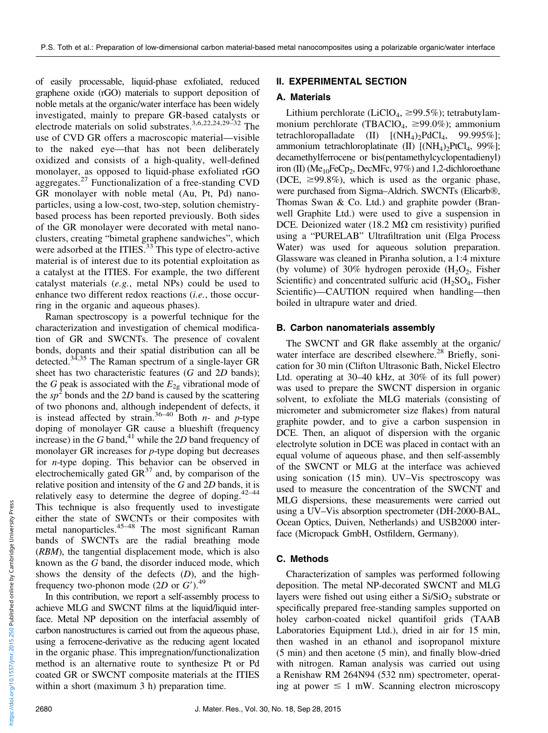of easily processable, liquid-phase exfoliated, reduced graphene oxide (rGO) materials to support deposition of noble metals at the organic/water interface has been widely investigated, mainly to prepare GR-based catalysts or electrode materials on solid substrates.3,6,22,24,29–<sup>32</sup> The use of CVD GR offers a macroscopic material—visible to the naked eye—that has not been deliberately oxidized and consists of a high-quality, well-defined monolayer, as opposed to liquid-phase exfoliated rGO aggregates. $^{27}$  Functionalization of a free-standing CVD GR monolayer with noble metal (Au, Pt, Pd) nanoparticles, using a low-cost, two-step, solution chemistrybased process has been reported previously. Both sides of the GR monolayer were decorated with metal nanoclusters, creating "bimetal graphene sandwiches", which were adsorbed at the ITIES. $\frac{33}{33}$ This type of electro-active material is of interest due to its potential exploitation as a catalyst at the ITIES. For example, the two different catalyst materials (e.g., metal NPs) could be used to enhance two different redox reactions (*i.e.*, those occurring in the organic and aqueous phases).

Raman spectroscopy is a powerful technique for the characterization and investigation of chemical modification of GR and SWCNTs. The presence of covalent bonds, dopants and their spatial distribution can all be detected.<sup>34,35</sup> The Raman spectrum of a single-layer GR sheet has two characteristic features  $(G \text{ and } 2D \text{ bands});$ the G peak is associated with the  $E_{2g}$  vibrational mode of the  $sp^2$  bonds and the 2D band is caused by the scattering of two phonons and, although independent of defects, it is instead affected by strain.<sup>36–40</sup> Both *n*- and *p*-type doping of monolayer GR cause a blueshift (frequency increase) in the  $G$  band,<sup>41</sup> while the 2D band frequency of monolayer GR increases for p-type doping but decreases for n-type doping. This behavior can be observed in electrochemically gated  $GR^{37}$  and, by comparison of the relative position and intensity of the G and 2D bands, it is relatively easy to determine the degree of doping.<sup>42–44</sup> This technique is also frequently used to investigate either the state of SWCNTs or their composites with metal nanoparticles.<sup>45–48</sup> The most significant Raman bands of SWCNTs are the radial breathing mode (RBM), the tangential displacement mode, which is also known as the G band, the disorder induced mode, which shows the density of the defects  $(D)$ , and the highfrequency two-phonon mode  $(2D \text{ or } G')$ .<sup>49</sup>

In this contribution, we report a self-assembly process to achieve MLG and SWCNT films at the liquid/liquid interface. Metal NP deposition on the interfacial assembly of carbon nanostructures is carried out from the aqueous phase, using a ferrocene-derivative as the reducing agent located in the organic phase. This impregnation/functionalization method is an alternative route to synthesize Pt or Pd coated GR or SWCNT composite materials at the ITIES within a short (maximum 3 h) preparation time.

# II. EXPERIMENTAL SECTION

## A. Materials

Lithium perchlorate (LiClO<sub>4</sub>,  $\geq$ 99.5%); tetrabutylammonium perchlorate (TBAClO<sub>4</sub>,  $\geq$ 99.0%); ammonium tetrachloropalladate (II)  $[(NH_4)_2PdCl_4, 99.995\%]$ ; ammonium tetrachloroplatinate (II)  $[(NH_4)_2PtCl_4, 99\%]$ ; decamethylferrocene or bis(pentamethylcyclopentadienyl) iron (II) ( $Me<sub>10</sub>FeCp<sub>2</sub>$ , DecMFc, 97%) and 1,2-dichloroethane (DCE,  $\geq$ 99.8%), which is used as the organic phase, were purchased from Sigma–Aldrich. SWCNTs (Elicarb®, Thomas Swan & Co. Ltd.) and graphite powder (Branwell Graphite Ltd.) were used to give a suspension in DCE. Deionized water (18.2 M $\Omega$  cm resistivity) purified using a "PURELAB" Ultrafiltration unit (Elga Process Water) was used for aqueous solution preparation. Glassware was cleaned in Piranha solution, a 1:4 mixture (by volume) of 30% hydrogen peroxide  $(H_2O_2,$  Fisher Scientific) and concentrated sulfuric acid  $(H_2SO_4, Fisher)$ Scientific)—CAUTION required when handling—then boiled in ultrapure water and dried.

## B. Carbon nanomaterials assembly

The SWCNT and GR flake assembly at the organic/ water interface are described elsewhere.<sup>28</sup> Briefly, sonication for 30 min (Clifton Ultrasonic Bath, Nickel Electro Ltd. operating at 30–40 kHz, at 30% of its full power) was used to prepare the SWCNT dispersion in organic solvent, to exfoliate the MLG materials (consisting of micrometer and submicrometer size flakes) from natural graphite powder, and to give a carbon suspension in DCE. Then, an aliquot of dispersion with the organic electrolyte solution in DCE was placed in contact with an equal volume of aqueous phase, and then self-assembly of the SWCNT or MLG at the interface was achieved using sonication (15 min). UV–Vis spectroscopy was used to measure the concentration of the SWCNT and MLG dispersions, these measurements were carried out using a UV–Vis absorption spectrometer (DH-2000-BAL, Ocean Optics, Duiven, Netherlands) and USB2000 interface (Micropack GmbH, Ostfildern, Germany).

# C. Methods

Characterization of samples was performed following deposition. The metal NP-decorated SWCNT and MLG layers were fished out using either a  $Si/SiO<sub>2</sub>$  substrate or specifically prepared free-standing samples supported on holey carbon-coated nickel quantifoil grids (TAAB Laboratories Equipment Ltd.), dried in air for 15 min, then washed in an ethanol and isopropanol mixture (5 min) and then acetone (5 min), and finally blow-dried with nitrogen. Raman analysis was carried out using a Renishaw RM 264N94 (532 nm) spectrometer, operating at power  $\leq 1$  mW. Scanning electron microscopy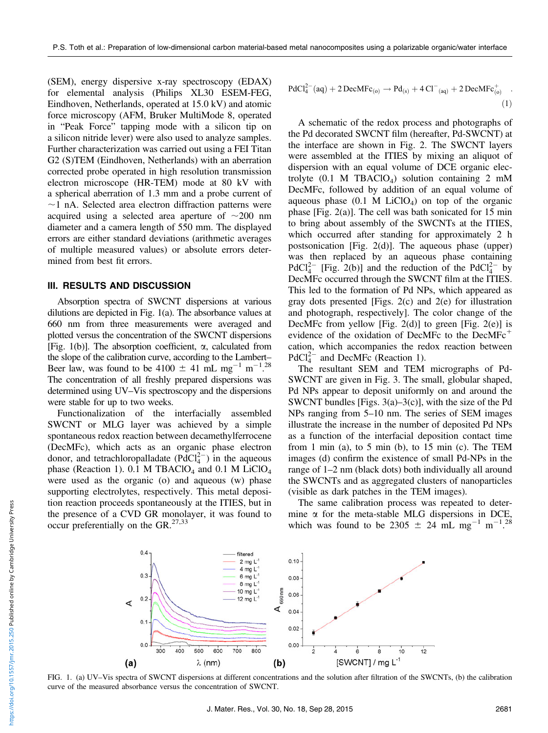(SEM), energy dispersive x-ray spectroscopy (EDAX) for elemental analysis (Philips XL30 ESEM-FEG, Eindhoven, Netherlands, operated at 15.0 kV) and atomic force microscopy (AFM, Bruker MultiMode 8, operated in "Peak Force" tapping mode with a silicon tip on a silicon nitride lever) were also used to analyze samples. Further characterization was carried out using a FEI Titan G2 (S)TEM (Eindhoven, Netherlands) with an aberration corrected probe operated in high resolution transmission electron microscope (HR-TEM) mode at 80 kV with a spherical aberration of 1.3 mm and a probe current of  $\sim$ 1 nA. Selected area electron diffraction patterns were acquired using a selected area aperture of  $\sim$ 200 nm diameter and a camera length of 550 mm. The displayed errors are either standard deviations (arithmetic averages of multiple measured values) or absolute errors determined from best fit errors.

## III. RESULTS AND DISCUSSION

Absorption spectra of SWCNT dispersions at various dilutions are depicted in Fig. 1(a). The absorbance values at 660 nm from three measurements were averaged and plotted versus the concentration of the SWCNT dispersions [Fig. 1(b)]. The absorption coefficient,  $\alpha$ , calculated from the slope of the calibration curve, according to the Lambert– Beer law, was found to be  $4100 \pm 41 \text{ mL mg}^{-1} \text{ m}^{-1}$ .<sup>28</sup> The concentration of all freshly prepared dispersions was determined using UV–Vis spectroscopy and the dispersions were stable for up to two weeks.

Functionalization of the interfacially assembled SWCNT or MLG layer was achieved by a simple spontaneous redox reaction between decamethylferrocene (DecMFc), which acts as an organic phase electron donor, and tetrachloropalladate  $(PdCl<sub>4</sub><sup>2–</sup>)$  in the aqueous phase (Reaction 1). 0.1 M TBAClO<sub>4</sub> and 0.1 M LiClO<sub>4</sub> were used as the organic (o) and aqueous (w) phase supporting electrolytes, respectively. This metal deposition reaction proceeds spontaneously at the ITIES, but in the presence of a CVD GR monolayer, it was found to occur preferentially on the GR. $^{27,33}$ 

$$
PdCl42-(aq) + 2 DecMFc(o) \to Pd(s) + 4 Cl(aq) + 2 DecMFc(o)+ (1)
$$

A schematic of the redox process and photographs of the Pd decorated SWCNT film (hereafter, Pd-SWCNT) at the interface are shown in Fig. 2. The SWCNT layers were assembled at the ITIES by mixing an aliquot of dispersion with an equal volume of DCE organic electrolyte  $(0.1 \text{ M} \text{ TBAC1O}_4)$  solution containing 2 mM DecMFc, followed by addition of an equal volume of aqueous phase  $(0.1 \text{ M } LiClO<sub>4</sub>)$  on top of the organic phase [Fig. 2(a)]. The cell was bath sonicated for 15 min to bring about assembly of the SWCNTs at the ITIES, which occurred after standing for approximately 2 h postsonication [Fig. 2(d)]. The aqueous phase (upper) was then replaced by an aqueous phase containing PdCl<sup>2-</sup> [Fig. 2(b)] and the reduction of the PdCl<sup>2-</sup> by DecMFc occurred through the SWCNT film at the ITIES. This led to the formation of Pd NPs, which appeared as gray dots presented [Figs. 2(c) and 2(e) for illustration and photograph, respectively]. The color change of the DecMFc from yellow [Fig. 2(d)] to green [Fig. 2(e)] is evidence of the oxidation of DecMFc to the DecMFc<sup>+</sup> cation, which accompanies the redox reaction between  $PdCl<sub>4</sub><sup>2–</sup>$  and DecMFc (Reaction 1).

The resultant SEM and TEM micrographs of Pd-SWCNT are given in Fig. 3. The small, globular shaped, Pd NPs appear to deposit uniformly on and around the SWCNT bundles [Figs. 3(a)–3(c)], with the size of the Pd NPs ranging from 5–10 nm. The series of SEM images illustrate the increase in the number of deposited Pd NPs as a function of the interfacial deposition contact time from 1 min (a), to 5 min (b), to 15 min (c). The TEM images (d) confirm the existence of small Pd-NPs in the range of 1–2 nm (black dots) both individually all around the SWCNTs and as aggregated clusters of nanoparticles (visible as dark patches in the TEM images).

The same calibration process was repeated to determine  $\alpha$  for the meta-stable MLG dispersions in DCE, which was found to be 2305  $\pm$  24 mL mg<sup>-1</sup> m<sup>-1.28</sup>



FIG. 1. (a) UV–Vis spectra of SWCNT dispersions at different concentrations and the solution after filtration of the SWCNTs, (b) the calibration curve of the measured absorbance versus the concentration of SWCNT.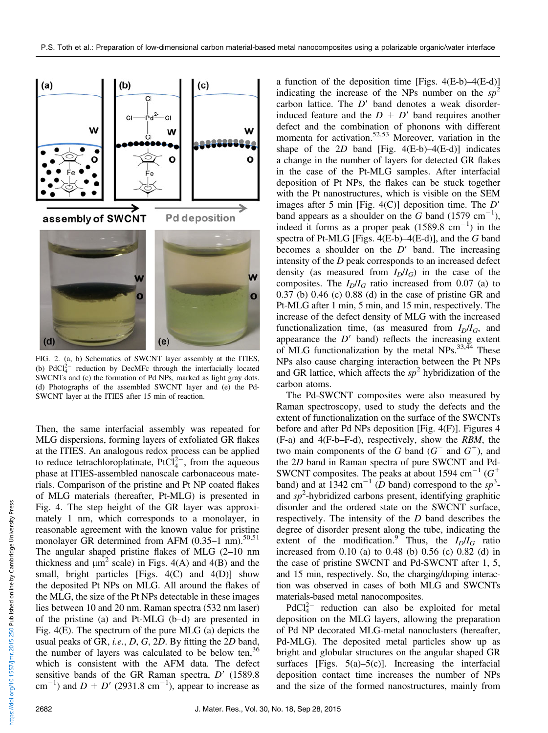

FIG. 2. (a, b) Schematics of SWCNT layer assembly at the ITIES, (b)  $PdCl<sub>4</sub><sup>2-</sup>$  reduction by DecMFc through the interfacially located SWCNTs and (c) the formation of Pd NPs, marked as light gray dots. (d) Photographs of the assembled SWCNT layer and (e) the Pd-SWCNT layer at the ITIES after 15 min of reaction.

Then, the same interfacial assembly was repeated for MLG dispersions, forming layers of exfoliated GR flakes at the ITIES. An analogous redox process can be applied to reduce tetrachloroplatinate,  $PrC1_4^{2-}$ , from the aqueous phase at ITIES-assembled nanoscale carbonaceous materials. Comparison of the pristine and Pt NP coated flakes of MLG materials (hereafter, Pt-MLG) is presented in Fig. 4. The step height of the GR layer was approximately 1 nm, which corresponds to a monolayer, in reasonable agreement with the known value for pristine monolayer GR determined from AFM  $(0.35-1 \text{ nm})$ .<sup>50,51</sup> The angular shaped pristine flakes of MLG (2–10 nm thickness and  $\mu$ m<sup>2</sup> scale) in Figs. 4(A) and 4(B) and the small, bright particles [Figs. 4(C) and 4(D)] show the deposited Pt NPs on MLG. All around the flakes of the MLG, the size of the Pt NPs detectable in these images lies between 10 and 20 nm. Raman spectra (532 nm laser) of the pristine (a) and Pt-MLG (b–d) are presented in Fig. 4(E). The spectrum of the pure MLG (a) depicts the usual peaks of GR, i.e., D, G, 2D. By fitting the 2D band, the number of layers was calculated to be below ten,  $36$ which is consistent with the AFM data. The defect sensitive bands of the GR Raman spectra,  $D'$  (1589.8) cm<sup>-1</sup>) and  $D + D'$  (2931.8 cm<sup>-1</sup>), appear to increase as

a function of the deposition time [Figs.  $4(E-b)-4(E-d)$ ] indicating the increase of the NPs number on the  $sp^2$ carbon lattice. The  $D'$  band denotes a weak disorderinduced feature and the  $D + D'$  band requires another defect and the combination of phonons with different momenta for activation.<sup>52,53</sup> Moreover, variation in the shape of the  $2D$  band [Fig. 4(E-b)–4(E-d)] indicates a change in the number of layers for detected GR flakes in the case of the Pt-MLG samples. After interfacial deposition of Pt NPs, the flakes can be stuck together with the Pt nanostructures, which is visible on the SEM images after 5 min [Fig. 4(C)] deposition time. The  $D'$ band appears as a shoulder on the G band (1579 cm<sup>-1</sup>), indeed it forms as a proper peak  $(1589.8 \text{ cm}^{-1})$  in the spectra of Pt-MLG [Figs.  $4(E-b)$ – $4(E-d)$ ], and the G band becomes a shoulder on the  $D'$  band. The increasing intensity of the D peak corresponds to an increased defect density (as measured from  $I_D/I_G$ ) in the case of the composites. The  $I<sub>D</sub>/I<sub>G</sub>$  ratio increased from 0.07 (a) to 0.37 (b) 0.46 (c) 0.88 (d) in the case of pristine GR and Pt-MLG after 1 min, 5 min, and 15 min, respectively. The increase of the defect density of MLG with the increased functionalization time, (as measured from  $I_D/I_G$ , and appearance the  $D'$  band) reflects the increasing extent of MLG functionalization by the metal NPs.<sup>33,44</sup> These NPs also cause charging interaction between the Pt NPs and GR lattice, which affects the  $sp^2$  hybridization of the carbon atoms.

The Pd-SWCNT composites were also measured by Raman spectroscopy, used to study the defects and the extent of functionalization on the surface of the SWCNTs before and after Pd NPs deposition [Fig. 4(F)]. Figures 4 (F-a) and 4(F-b–F-d), respectively, show the RBM, the two main components of the G band  $(G^-$  and  $G^+$ ), and the 2D band in Raman spectra of pure SWCNT and Pd-SWCNT composites. The peaks at about 1594 cm<sup>-1</sup> ( $G^+$ band) and at  $1342 \text{ cm}^{-1}$  (D band) correspond to the sp<sup>3</sup>and  $sp<sup>2</sup>$ -hybridized carbons present, identifying graphitic disorder and the ordered state on the SWCNT surface, respectively. The intensity of the D band describes the degree of disorder present along the tube, indicating the extent of the modification.<sup>9</sup> Thus, the  $I_D/I_G$  ratio increased from 0.10 (a) to 0.48 (b) 0.56 (c) 0.82 (d) in the case of pristine SWCNT and Pd-SWCNT after 1, 5, and 15 min, respectively. So, the charging/doping interaction was observed in cases of both MLG and SWCNTs materials-based metal nanocomposites.

 $PdCl<sub>4</sub><sup>2-</sup>$  reduction can also be exploited for metal deposition on the MLG layers, allowing the preparation of Pd NP decorated MLG-metal nanoclusters (hereafter, Pd-MLG). The deposited metal particles show up as bright and globular structures on the angular shaped GR surfaces [Figs.  $5(a)$ – $5(c)$ ]. Increasing the interfacial deposition contact time increases the number of NPs and the size of the formed nanostructures, mainly from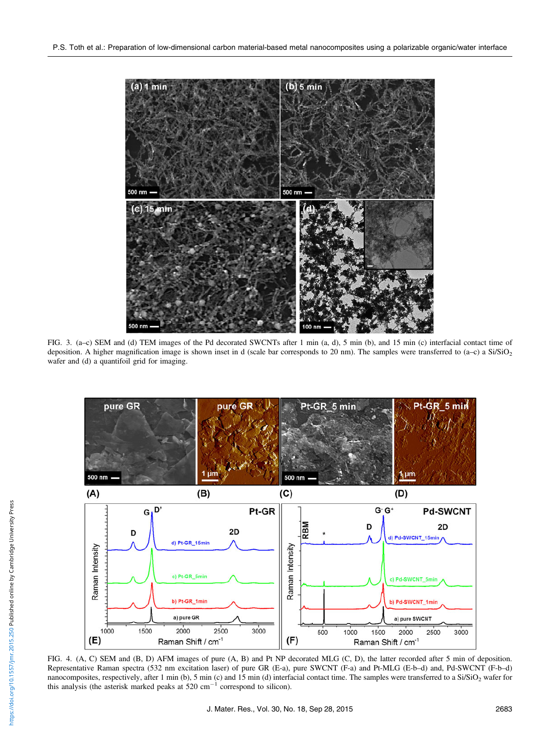

FIG. 3. (a-c) SEM and (d) TEM images of the Pd decorated SWCNTs after 1 min (a, d), 5 min (b), and 15 min (c) interfacial contact time of deposition. A higher magnification image is shown inset in d (scale bar corresponds to 20 nm). The samples were transferred to (a–c) a  $Si/SiO<sub>2</sub>$ wafer and (d) a quantifoil grid for imaging.



FIG. 4. (A, C) SEM and (B, D) AFM images of pure (A, B) and Pt NP decorated MLG (C, D), the latter recorded after 5 min of deposition. Representative Raman spectra (532 nm excitation laser) of pure GR (E-a), pure SWCNT (F-a) and Pt-MLG (E-b–d) and, Pd-SWCNT (F-b–d) nanocomposites, respectively, after 1 min (b), 5 min (c) and 15 min (d) interfacial contact time. The samples were transferred to a  $Si/SiO<sub>2</sub>$  wafer for this analysis (the asterisk marked peaks at  $520 \text{ cm}^{-1}$  correspond to silicon).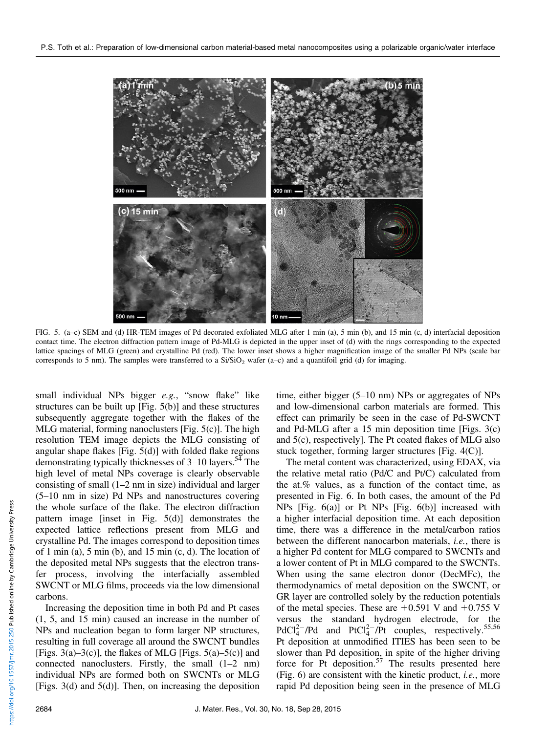

FIG. 5. (a–c) SEM and (d) HR-TEM images of Pd decorated exfoliated MLG after 1 min (a), 5 min (b), and 15 min (c, d) interfacial deposition contact time. The electron diffraction pattern image of Pd-MLG is depicted in the upper inset of (d) with the rings corresponding to the expected lattice spacings of MLG (green) and crystalline Pd (red). The lower inset shows a higher magnification image of the smaller Pd NPs (scale bar corresponds to 5 nm). The samples were transferred to a  $Si/SiO<sub>2</sub>$  wafer (a–c) and a quantifoil grid (d) for imaging.

small individual NPs bigger  $e.g.,$  "snow flake" like structures can be built up [Fig. 5(b)] and these structures subsequently aggregate together with the flakes of the MLG material, forming nanoclusters  $[Fig. 5(c)]$ . The high resolution TEM image depicts the MLG consisting of angular shape flakes [Fig.  $5(d)$ ] with folded flake regions demonstrating typically thicknesses of 3–10 layers.<sup>54</sup> The high level of metal NPs coverage is clearly observable consisting of small (1–2 nm in size) individual and larger (5–10 nm in size) Pd NPs and nanostructures covering the whole surface of the flake. The electron diffraction pattern image [inset in Fig. 5(d)] demonstrates the expected lattice reflections present from MLG and crystalline Pd. The images correspond to deposition times of 1 min (a), 5 min (b), and 15 min (c, d). The location of the deposited metal NPs suggests that the electron transfer process, involving the interfacially assembled SWCNT or MLG films, proceeds via the low dimensional carbons.

Increasing the deposition time in both Pd and Pt cases (1, 5, and 15 min) caused an increase in the number of NPs and nucleation began to form larger NP structures, resulting in full coverage all around the SWCNT bundles [Figs. 3(a)–3(c)], the flakes of MLG [Figs. 5(a)–5(c)] and connected nanoclusters. Firstly, the small (1–2 nm) individual NPs are formed both on SWCNTs or MLG [Figs. 3(d) and 5(d)]. Then, on increasing the deposition

time, either bigger (5–10 nm) NPs or aggregates of NPs and low-dimensional carbon materials are formed. This effect can primarily be seen in the case of Pd-SWCNT and Pd-MLG after a 15 min deposition time [Figs. 3(c) and 5(c), respectively]. The Pt coated flakes of MLG also stuck together, forming larger structures [Fig. 4(C)].

The metal content was characterized, using EDAX, via the relative metal ratio (Pd/C and Pt/C) calculated from the at.% values, as a function of the contact time, as presented in Fig. 6. In both cases, the amount of the Pd NPs [Fig. 6(a)] or Pt NPs [Fig. 6(b)] increased with a higher interfacial deposition time. At each deposition time, there was a difference in the metal/carbon ratios between the different nanocarbon materials, i.e., there is a higher Pd content for MLG compared to SWCNTs and a lower content of Pt in MLG compared to the SWCNTs. When using the same electron donor (DecMFc), the thermodynamics of metal deposition on the SWCNT, or GR layer are controlled solely by the reduction potentials of the metal species. These are  $+0.591$  V and  $+0.755$  V versus the standard hydrogen electrode, for the  $PdCl_4^{2-}/Pd$  and  $PtCl_4^{2-}/Pt$  couples, respectively.<sup>55,56</sup> Pt deposition at unmodified ITIES has been seen to be slower than Pd deposition, in spite of the higher driving force for Pt deposition.<sup>57</sup> The results presented here (Fig. 6) are consistent with the kinetic product, i.e., more rapid Pd deposition being seen in the presence of MLG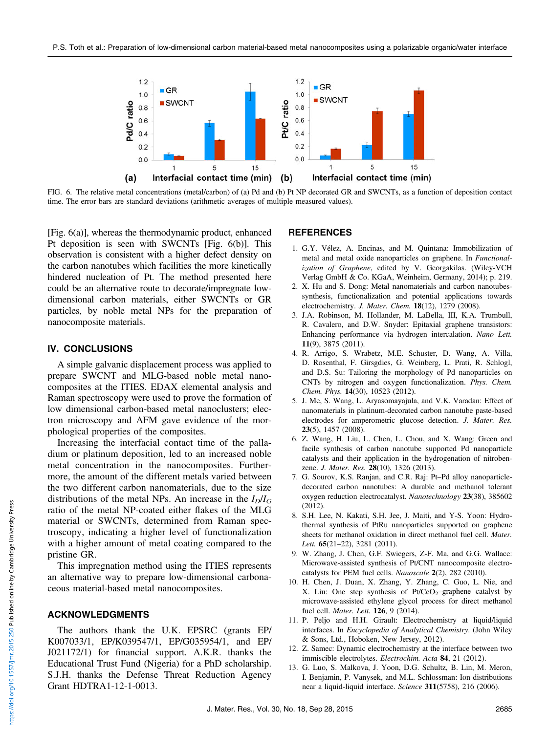

FIG. 6. The relative metal concentrations (metal/carbon) of (a) Pd and (b) Pt NP decorated GR and SWCNTs, as a function of deposition contact time. The error bars are standard deviations (arithmetic averages of multiple measured values).

[Fig. 6(a)], whereas the thermodynamic product, enhanced Pt deposition is seen with SWCNTs [Fig. 6(b)]. This observation is consistent with a higher defect density on the carbon nanotubes which facilities the more kinetically hindered nucleation of Pt. The method presented here could be an alternative route to decorate/impregnate lowdimensional carbon materials, either SWCNTs or GR particles, by noble metal NPs for the preparation of nanocomposite materials.

## IV. CONCLUSIONS

A simple galvanic displacement process was applied to prepare SWCNT and MLG-based noble metal nanocomposites at the ITIES. EDAX elemental analysis and Raman spectroscopy were used to prove the formation of low dimensional carbon-based metal nanoclusters; electron microscopy and AFM gave evidence of the morphological properties of the composites.

Increasing the interfacial contact time of the palladium or platinum deposition, led to an increased noble metal concentration in the nanocomposites. Furthermore, the amount of the different metals varied between the two different carbon nanomaterials, due to the size distributions of the metal NPs. An increase in the  $I_D/I_G$ ratio of the metal NP-coated either flakes of the MLG material or SWCNTs, determined from Raman spectroscopy, indicating a higher level of functionalization with a higher amount of metal coating compared to the pristine GR.

This impregnation method using the ITIES represents an alternative way to prepare low-dimensional carbonaceous material-based metal nanocomposites.

#### ACKNOWLEDGMENTS

The authors thank the U.K. EPSRC (grants EP/ K007033/1, EP/K039547/1, EP/G035954/1, and EP/ J021172/1) for financial support. A.K.R. thanks the Educational Trust Fund (Nigeria) for a PhD scholarship. S.J.H. thanks the Defense Threat Reduction Agency Grant HDTRA1-12-1-0013.

#### REFERENCES

- 1. G.Y. Vélez, A. Encinas, and M. Quintana: Immobilization of metal and metal oxide nanoparticles on graphene. In Functionalization of Graphene, edited by V. Georgakilas. (Wiley-VCH Verlag GmbH & Co. KGaA, Weinheim, Germany, 2014); p. 219.
- 2. X. Hu and S. Dong: Metal nanomaterials and carbon nanotubessynthesis, functionalization and potential applications towards electrochemistry. J. Mater. Chem. 18(12), 1279 (2008).
- 3. J.A. Robinson, M. Hollander, M. LaBella, III, K.A. Trumbull, R. Cavalero, and D.W. Snyder: Epitaxial graphene transistors: Enhancing performance via hydrogen intercalation. Nano Lett. 11(9), 3875 (2011).
- 4. R. Arrigo, S. Wrabetz, M.E. Schuster, D. Wang, A. Villa, D. Rosenthal, F. Girsgdies, G. Weinberg, L. Prati, R. Schlogl, and D.S. Su: Tailoring the morphology of Pd nanoparticles on CNTs by nitrogen and oxygen functionalization. Phys. Chem. Chem. Phys. 14(30), 10523 (2012).
- 5. J. Me, S. Wang, L. Aryasomayajula, and V.K. Varadan: Effect of nanomaterials in platinum-decorated carbon nanotube paste-based electrodes for amperometric glucose detection. J. Mater. Res. 23(5), 1457 (2008).
- 6. Z. Wang, H. Liu, L. Chen, L. Chou, and X. Wang: Green and facile synthesis of carbon nanotube supported Pd nanoparticle catalysts and their application in the hydrogenation of nitrobenzene. J. Mater. Res. 28(10), 1326 (2013).
- 7. G. Sourov, K.S. Ranjan, and C.R. Raj: Pt–Pd alloy nanoparticledecorated carbon nanotubes: A durable and methanol tolerant oxygen reduction electrocatalyst. Nanotechnology 23(38), 385602  $(2012)$
- 8. S.H. Lee, N. Kakati, S.H. Jee, J. Maiti, and Y-S. Yoon: Hydrothermal synthesis of PtRu nanoparticles supported on graphene sheets for methanol oxidation in direct methanol fuel cell. Mater. Lett. 65(21-22), 3281 (2011).
- 9. W. Zhang, J. Chen, G.F. Swiegers, Z-F. Ma, and G.G. Wallace: Microwave-assisted synthesis of Pt/CNT nanocomposite electrocatalysts for PEM fuel cells. Nanoscale 2(2), 282 (2010).
- 10. H. Chen, J. Duan, X. Zhang, Y. Zhang, C. Guo, L. Nie, and X. Liu: One step synthesis of  $Pt/CeO<sub>2</sub>$ –graphene catalyst by microwave-assisted ethylene glycol process for direct methanol fuel cell. Mater. Lett. 126, 9 (2014).
- 11. P. Peljo and H.H. Girault: Electrochemistry at liquid/liquid interfaces. In Encyclopedia of Analytical Chemistry. (John Wiley & Sons, Ltd., Hoboken, New Jersey, 2012).
- 12. Z. Samec: Dynamic electrochemistry at the interface between two immiscible electrolytes. Electrochim. Acta 84, 21 (2012).
- 13. G. Luo, S. Malkova, J. Yoon, D.G. Schultz, B. Lin, M. Meron, I. Benjamin, P. Vanysek, and M.L. Schlossman: Ion distributions near a liquid-liquid interface. Science 311(5758), 216 (2006).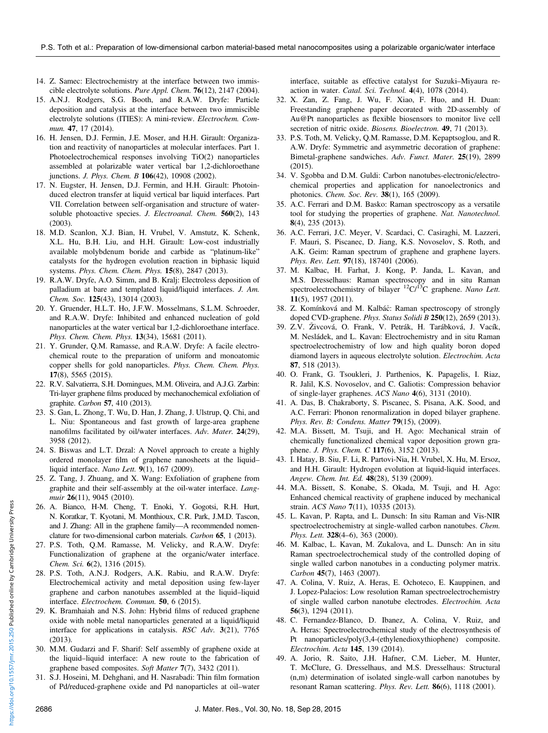- 14. Z. Samec: Electrochemistry at the interface between two immiscible electrolyte solutions. Pure Appl. Chem. 76(12), 2147 (2004).
- 15. A.N.J. Rodgers, S.G. Booth, and R.A.W. Dryfe: Particle deposition and catalysis at the interface between two immiscible electrolyte solutions (ITIES): A mini-review. Electrochem. Commun. 47, 17 (2014).
- 16. H. Jensen, D.J. Fermin, J.E. Moser, and H.H. Girault: Organization and reactivity of nanoparticles at molecular interfaces. Part 1. Photoelectrochemical responses involving TiO(2) nanoparticles assembled at polarizable water vertical bar 1,2-dichloroethane junctions. J. Phys. Chem. B 106(42), 10908 (2002).
- 17. N. Eugster, H. Jensen, D.J. Fermin, and H.H. Girault: Photoinduced electron transfer at liquid vertical bar liquid interfaces. Part VII. Correlation between self-organisation and structure of watersoluble photoactive species. J. Electroanal. Chem. 560(2), 143 (2003).
- 18. M.D. Scanlon, X.J. Bian, H. Vrubel, V. Amstutz, K. Schenk, X.L. Hu, B.H. Liu, and H.H. Girault: Low-cost industrially available molybdenum boride and carbide as "platinum-like" catalysts for the hydrogen evolution reaction in biphasic liquid systems. Phys. Chem. Chem. Phys. 15(8), 2847 (2013).
- 19. R.A.W. Dryfe, A.O. Simm, and B. Kralj: Electroless deposition of palladium at bare and templated liquid/liquid interfaces. J. Am. Chem. Soc. 125(43), 13014 (2003).
- 20. Y. Gruender, H.L.T. Ho, J.F.W. Mosselmans, S.L.M. Schroeder, and R.A.W. Dryfe: Inhibited and enhanced nucleation of gold nanoparticles at the water vertical bar 1,2-dichloroethane interface. Phys. Chem. Chem. Phys. 13(34), 15681 (2011).
- 21. Y. Grunder, Q.M. Ramasse, and R.A.W. Dryfe: A facile electrochemical route to the preparation of uniform and monoatomic copper shells for gold nanoparticles. Phys. Chem. Chem. Phys. 17(8), 5565 (2015).
- 22. R.V. Salvatierra, S.H. Domingues, M.M. Oliveira, and A.J.G. Zarbin: Tri-layer graphene films produced by mechanochemical exfoliation of graphite. Carbon 57, 410 (2013).
- 23. S. Gan, L. Zhong, T. Wu, D. Han, J. Zhang, J. Ulstrup, Q. Chi, and L. Niu: Spontaneous and fast growth of large-area graphene nanofilms facilitated by oil/water interfaces. Adv. Mater. 24(29), 3958 (2012).
- 24. S. Biswas and L.T. Drzal: A Novel approach to create a highly ordered monolayer film of graphene nanosheets at the liquid– liquid interface. Nano Lett. 9(1), 167 (2009).
- 25. Z. Tang, J. Zhuang, and X. Wang: Exfoliation of graphene from graphite and their self-assembly at the oil-water interface. Langmuir 26(11), 9045 (2010).
- 26. A. Bianco, H-M. Cheng, T. Enoki, Y. Gogotsi, R.H. Hurt, N. Koratkar, T. Kyotani, M. Monthioux, C.R. Park, J.M.D. Tascon, and J. Zhang: All in the graphene family—A recommended nomenclature for two-dimensional carbon materials. Carbon 65, 1 (2013).
- 27. P.S. Toth, Q.M. Ramasse, M. Velicky, and R.A.W. Dryfe: Functionalization of graphene at the organic/water interface. Chem. Sci. 6(2), 1316 (2015).
- 28. P.S. Toth, A.N.J. Rodgers, A.K. Rabiu, and R.A.W. Dryfe: Electrochemical activity and metal deposition using few-layer graphene and carbon nanotubes assembled at the liquid–liquid interface. Electrochem. Commun. 50, 6 (2015).
- 29. K. Bramhaiah and N.S. John: Hybrid films of reduced graphene oxide with noble metal nanoparticles generated at a liquid/liquid interface for applications in catalysis. RSC Adv. 3(21), 7765 (2013).
- 30. M.M. Gudarzi and F. Sharif: Self assembly of graphene oxide at the liquid–liquid interface: A new route to the fabrication of graphene based composites. Soft Matter 7(7), 3432 (2011).
- 31. S.J. Hoseini, M. Dehghani, and H. Nasrabadi: Thin film formation of Pd/reduced-graphene oxide and Pd nanoparticles at oil–water

interface, suitable as effective catalyst for Suzuki–Miyaura reaction in water. Catal. Sci. Technol. 4(4), 1078 (2014).

- 32. X. Zan, Z. Fang, J. Wu, F. Xiao, F. Huo, and H. Duan: Freestanding graphene paper decorated with 2D-assembly of Au@Pt nanoparticles as flexible biosensors to monitor live cell secretion of nitric oxide. Biosens. Bioelectron. 49, 71 (2013).
- 33. P.S. Toth, M. Velicky, Q.M. Ramasse, D.M. Kepaptsoglou, and R. A.W. Dryfe: Symmetric and asymmetric decoration of graphene: Bimetal-graphene sandwiches. Adv. Funct. Mater. 25(19), 2899 (2015).
- 34. V. Sgobba and D.M. Guldi: Carbon nanotubes-electronic/electrochemical properties and application for nanoelectronics and photonics. Chem. Soc. Rev. 38(1), 165 (2009).
- 35. A.C. Ferrari and D.M. Basko: Raman spectroscopy as a versatile tool for studying the properties of graphene. Nat. Nanotechnol. 8(4), 235 (2013).
- 36. A.C. Ferrari, J.C. Meyer, V. Scardaci, C. Casiraghi, M. Lazzeri, F. Mauri, S. Piscanec, D. Jiang, K.S. Novoselov, S. Roth, and A.K. Geim: Raman spectrum of graphene and graphene layers. Phys. Rev. Lett. 97(18), 187401 (2006).
- 37. M. Kalbac, H. Farhat, J. Kong, P. Janda, L. Kavan, and M.S. Dresselhaus: Raman spectroscopy and in situ Raman spectroelectrochemistry of bilayer  ${}^{12}C/{}^{13}C$  graphene. Nano Lett. 11(5), 1957 (2011).
- 38. Z. Komínková and M. Kalbác: Raman spectroscopy of strongly doped CVD-graphene. *Phys. Status Solidi B* 250(12), 2659 (2013).
- 39. Z.V. Zivcová, O. Frank, V. Petrák, H. Tarábková, J. Vacík, M. Nesládek, and L. Kavan: Electrochemistry and in situ Raman spectroelectrochemistry of low and high quality boron doped diamond layers in aqueous electrolyte solution. Electrochim. Acta 87, 518 (2013).
- 40. O. Frank, G. Tsoukleri, J. Parthenios, K. Papagelis, I. Riaz, R. Jalil, K.S. Novoselov, and C. Galiotis: Compression behavior of single-layer graphenes. ACS Nano 4(6), 3131 (2010).
- 41. A. Das, B. Chakraborty, S. Piscanec, S. Pisana, A.K. Sood, and A.C. Ferrari: Phonon renormalization in doped bilayer graphene. Phys. Rev. B: Condens. Matter 79(15), (2009).
- 42. M.A. Bissett, M. Tsuji, and H. Ago: Mechanical strain of chemically functionalized chemical vapor deposition grown graphene. J. Phys. Chem. C 117(6), 3152 (2013).
- 43. I. Hatay, B. Siu, F. Li, R. Partovi-Nia, H. Vrubel, X. Hu, M. Ersoz, and H.H. Girault: Hydrogen evolution at liquid-liquid interfaces. Angew. Chem. Int. Ed. 48(28), 5139 (2009).
- 44. M.A. Bissett, S. Konabe, S. Okada, M. Tsuji, and H. Ago: Enhanced chemical reactivity of graphene induced by mechanical strain. ACS Nano 7(11), 10335 (2013).
- 45. L. Kavan, P. Rapta, and L. Dunsch: In situ Raman and Vis-NIR spectroelectrochemistry at single-walled carbon nanotubes. Chem. Phys. Lett. 328(4–6), 363 (2000).
- 46. M. Kalbac, L. Kavan, M. Zukalova, and L. Dunsch: An in situ Raman spectroelectrochemical study of the controlled doping of single walled carbon nanotubes in a conducting polymer matrix. Carbon 45(7), 1463 (2007).
- 47. A. Colina, V. Ruiz, A. Heras, E. Ochoteco, E. Kauppinen, and J. Lopez-Palacios: Low resolution Raman spectroelectrochemistry of single walled carbon nanotube electrodes. Electrochim. Acta 56(3), 1294 (2011).
- 48. C. Fernandez-Blanco, D. Ibanez, A. Colina, V. Ruiz, and A. Heras: Spectroelectrochemical study of the electrosynthesis of Pt nanoparticles/poly(3,4-(ethylenedioxythiophene) composite. Electrochim. Acta 145, 139 (2014).
- 49. A. Jorio, R. Saito, J.H. Hafner, C.M. Lieber, M. Hunter, T. McClure, G. Dresselhaus, and M.S. Dresselhaus: Structural (n,m) determination of isolated single-wall carbon nanotubes by resonant Raman scattering. *Phys. Rev. Lett.* **86**(6), 1118 (2001).